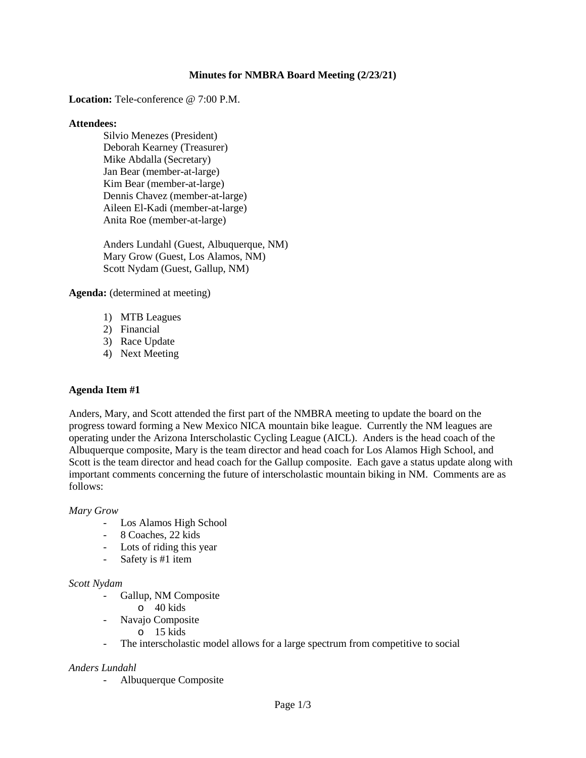## **Minutes for NMBRA Board Meeting (2/23/21)**

**Location:** Tele-conference @ 7:00 P.M.

#### **Attendees:**

Silvio Menezes (President) Deborah Kearney (Treasurer) Mike Abdalla (Secretary) Jan Bear (member-at-large) Kim Bear (member-at-large) Dennis Chavez (member-at-large) Aileen El-Kadi (member-at-large) Anita Roe (member-at-large)

Anders Lundahl (Guest, Albuquerque, NM) Mary Grow (Guest, Los Alamos, NM) Scott Nydam (Guest, Gallup, NM)

**Agenda:** (determined at meeting)

- 1) MTB Leagues
- 2) Financial
- 3) Race Update
- 4) Next Meeting

## **Agenda Item #1**

Anders, Mary, and Scott attended the first part of the NMBRA meeting to update the board on the progress toward forming a New Mexico NICA mountain bike league. Currently the NM leagues are operating under the Arizona Interscholastic Cycling League (AICL). Anders is the head coach of the Albuquerque composite, Mary is the team director and head coach for Los Alamos High School, and Scott is the team director and head coach for the Gallup composite. Each gave a status update along with important comments concerning the future of interscholastic mountain biking in NM. Comments are as follows:

#### *Mary Grow*

- Los Alamos High School
- 8 Coaches, 22 kids
- Lots of riding this year
- Safety is #1 item

#### *Scott Nydam*

- Gallup, NM Composite
	- o 40 kids
- Navajo Composite
	- o 15 kids
- The interscholastic model allows for a large spectrum from competitive to social

### *Anders Lundahl*

- Albuquerque Composite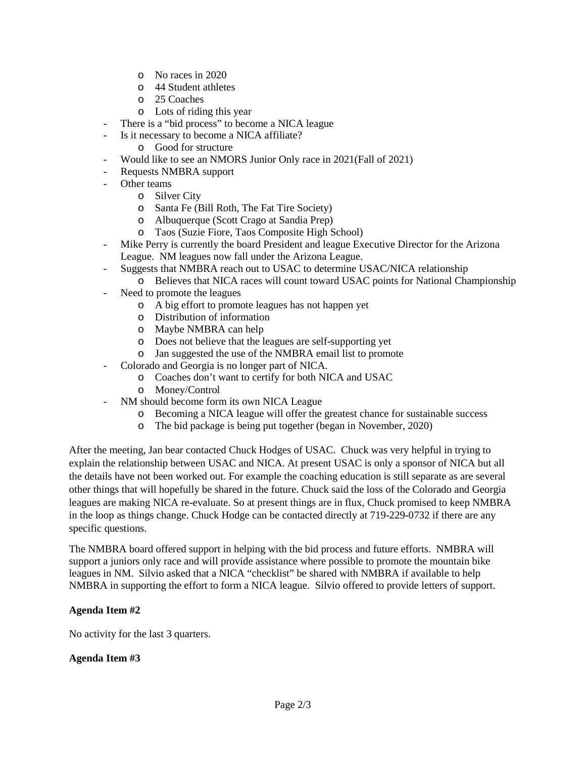- o No races in 2020
- o 44 Student athletes
- o 25 Coaches
- o Lots of riding this year
- There is a "bid process" to become a NICA league
- Is it necessary to become a NICA affiliate?
	- o Good for structure
- Would like to see an NMORS Junior Only race in 2021(Fall of 2021)
- Requests NMBRA support
- Other teams
	- o Silver City
	- o Santa Fe (Bill Roth, The Fat Tire Society)
	- o Albuquerque (Scott Crago at Sandia Prep)
	- Taos (Suzie Fiore, Taos Composite High School)
- Mike Perry is currently the board President and league Executive Director for the Arizona League. NM leagues now fall under the Arizona League.
- Suggests that NMBRA reach out to USAC to determine USAC/NICA relationship
- o Believes that NICA races will count toward USAC points for National Championship
- Need to promote the leagues
	- o A big effort to promote leagues has not happen yet
	- o Distribution of information
	- o Maybe NMBRA can help
	- o Does not believe that the leagues are self-supporting yet
	- o Jan suggested the use of the NMBRA email list to promote
- Colorado and Georgia is no longer part of NICA.
	- o Coaches don't want to certify for both NICA and USAC
	- o Money/Control
- NM should become form its own NICA League
	- o Becoming a NICA league will offer the greatest chance for sustainable success
	- o The bid package is being put together (began in November, 2020)

After the meeting, Jan bear contacted Chuck Hodges of USAC. Chuck was very helpful in trying to explain the relationship between USAC and NICA. At present USAC is only a sponsor of NICA but all the details have not been worked out. For example the coaching education is still separate as are several other things that will hopefully be shared in the future. Chuck said the loss of the Colorado and Georgia leagues are making NICA re-evaluate. So at present things are in flux, Chuck promised to keep NMBRA in the loop as things change. Chuck Hodge can be contacted directly at 719-229-0732 if there are any specific questions.

The NMBRA board offered support in helping with the bid process and future efforts. NMBRA will support a juniors only race and will provide assistance where possible to promote the mountain bike leagues in NM. Silvio asked that a NICA "checklist" be shared with NMBRA if available to help NMBRA in supporting the effort to form a NICA league. Silvio offered to provide letters of support.

# **Agenda Item #2**

No activity for the last 3 quarters.

## **Agenda Item #3**